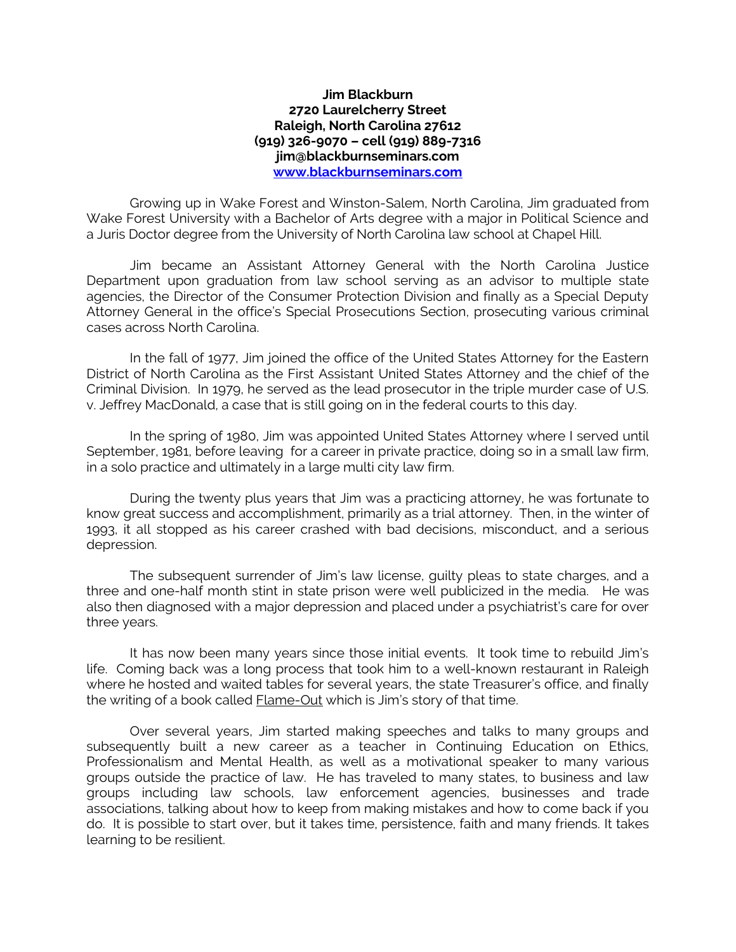## **Jim Blackburn 2720 Laurelcherry Street Raleigh, North Carolina 27612 (919) 326-9070 – cell (919) 889-7316 jim@blackburnseminars.com [www.blackburnseminars.com](http://www.blackburnseminars.com/)**

Growing up in Wake Forest and Winston-Salem, North Carolina, Jim graduated from Wake Forest University with a Bachelor of Arts degree with a major in Political Science and a Juris Doctor degree from the University of North Carolina law school at Chapel Hill.

Jim became an Assistant Attorney General with the North Carolina Justice Department upon graduation from law school serving as an advisor to multiple state agencies, the Director of the Consumer Protection Division and finally as a Special Deputy Attorney General in the office's Special Prosecutions Section, prosecuting various criminal cases across North Carolina.

In the fall of 1977, Jim joined the office of the United States Attorney for the Eastern District of North Carolina as the First Assistant United States Attorney and the chief of the Criminal Division. In 1979, he served as the lead prosecutor in the triple murder case of U.S. v. Jeffrey MacDonald, a case that is still going on in the federal courts to this day.

In the spring of 1980, Jim was appointed United States Attorney where I served until September, 1981, before leaving for a career in private practice, doing so in a small law firm, in a solo practice and ultimately in a large multi city law firm.

During the twenty plus years that Jim was a practicing attorney, he was fortunate to know great success and accomplishment, primarily as a trial attorney. Then, in the winter of 1993, it all stopped as his career crashed with bad decisions, misconduct, and a serious depression.

The subsequent surrender of Jim's law license, guilty pleas to state charges, and a three and one-half month stint in state prison were well publicized in the media. He was also then diagnosed with a major depression and placed under a psychiatrist's care for over three years.

It has now been many years since those initial events. It took time to rebuild Jim's life. Coming back was a long process that took him to a well-known restaurant in Raleigh where he hosted and waited tables for several years, the state Treasurer's office, and finally the writing of a book called **Flame-Out** which is Jim's story of that time.

Over several years, Jim started making speeches and talks to many groups and subsequently built a new career as a teacher in Continuing Education on Ethics, Professionalism and Mental Health, as well as a motivational speaker to many various groups outside the practice of law. He has traveled to many states, to business and law groups including law schools, law enforcement agencies, businesses and trade associations, talking about how to keep from making mistakes and how to come back if you do. It is possible to start over, but it takes time, persistence, faith and many friends. It takes learning to be resilient.